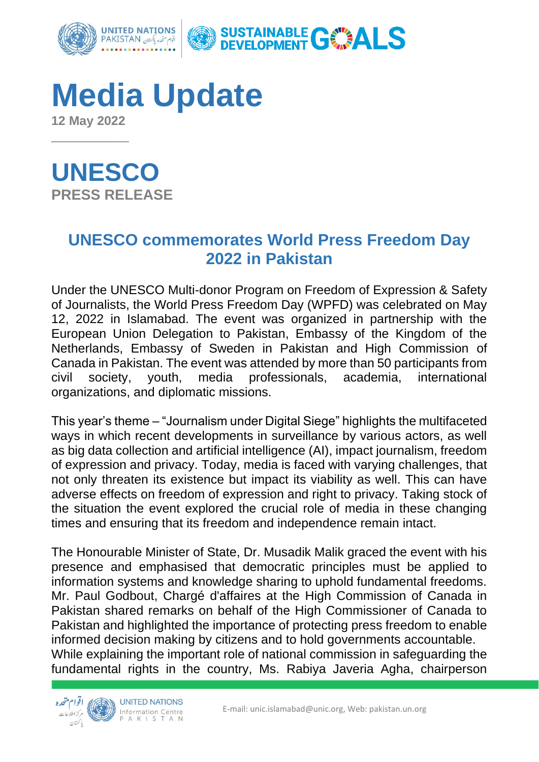

**Media Update 12 May 2022**

**UNESCO**

\_\_\_\_\_\_\_\_\_\_\_

**PRESS RELEASE**

## **UNESCO commemorates World Press Freedom Day 2022 in Pakistan**

Under the UNESCO Multi-donor Program on Freedom of Expression & Safety of Journalists, the World Press Freedom Day (WPFD) was celebrated on May 12, 2022 in Islamabad. The event was organized in partnership with the European Union Delegation to Pakistan, Embassy of the Kingdom of the Netherlands, Embassy of Sweden in Pakistan and High Commission of Canada in Pakistan. The event was attended by more than 50 participants from civil society, youth, media professionals, academia, international organizations, and diplomatic missions.

This year's theme – "Journalism under Digital Siege" highlights the multifaceted ways in which recent developments in surveillance by various actors, as well as big data collection and artificial intelligence (AI), impact journalism, freedom of expression and privacy. Today, media is faced with varying challenges, that not only threaten its existence but impact its viability as well. This can have adverse effects on freedom of expression and right to privacy. Taking stock of the situation the event explored the crucial role of media in these changing times and ensuring that its freedom and independence remain intact.

The Honourable Minister of State, Dr. Musadik Malik graced the event with his presence and emphasised that democratic principles must be applied to information systems and knowledge sharing to uphold fundamental freedoms. Mr. Paul Godbout, Chargé d'affaires at the High Commission of Canada in Pakistan shared remarks on behalf of the High Commissioner of Canada to Pakistan and highlighted the importance of protecting press freedom to enable informed decision making by citizens and to hold governments accountable. While explaining the important role of national commission in safeguarding the fundamental rights in the country, Ms. Rabiya Javeria Agha, chairperson